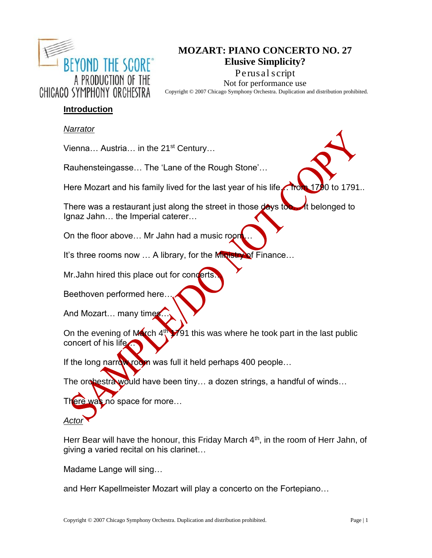

# **MOZART: PIANO CONCERTO NO. 27 Elusive Simplicity? Perusal script**

Not for performance use Copyright © 2007 Chicago Symphony Orchestra. Duplication and distribution prohibited.

# **Introduction**

## *Narrator*

Vienna... Austria... in the 21<sup>st</sup> Century...

Rauhensteingasse… The 'Lane of the Rough Stone'…

Here Mozart and his family lived for the last year of his life. From 1790 to 1791.

There was a restaurant just along the street in those days too. It belonged to Ignaz Jahn… the Imperial caterer…

On the floor above... Mr Jahn had a music roon

It's three rooms now ... A library, for the Ministry of Finance...

Mr. Jahn hired this place out for conderts

Beethoven performed here…

And Mozart... many times

On the evening of March  $4^{\text{th}}$  1791 this was where he took part in the last public concert of his life.

If the long narrow room was full it held perhaps 400 people...

The orchestra would have been tiny... a dozen strings, a handful of winds...

There was no space for more...

*Actor*

Herr Bear will have the honour, this Friday March  $4<sup>th</sup>$ , in the room of Herr Jahn, of giving a varied recital on his clarinet…

Madame Lange will sing…

and Herr Kapellmeister Mozart will play a concerto on the Fortepiano…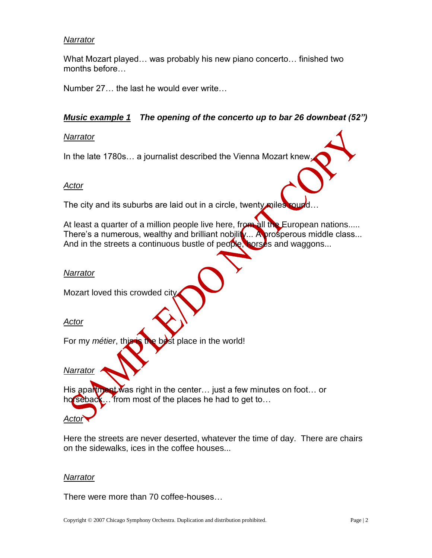What Mozart played… was probably his new piano concerto… finished two months before…

Number 27… the last he would ever write…

## *Music example 1 The opening of the concerto up to bar 26 downbeat (52")*

### *Narrator*

In the late 1780s… a journalist described the Vienna Mozart knew…

### *Actor*

The city and its suburbs are laid out in a circle, twenty miles

At least a quarter of a million people live here, from all the European nations..... There's a numerous, wealthy and brilliant nobility... A prosperous middle class... And in the streets a continuous bustle of people, horses and waggons...

### *Narrator*

Mozart loved this crowded city

*Actor*

For my *métier*, this is the best place in the world!

*Narrator*

His apartment was right in the center... just a few minutes on foot... or horseback... from most of the places he had to get to...

## Acto<sub>r</sub>

Here the streets are never deserted, whatever the time of day. There are chairs on the sidewalks, ices in the coffee houses...

### *Narrator*

There were more than 70 coffee-houses…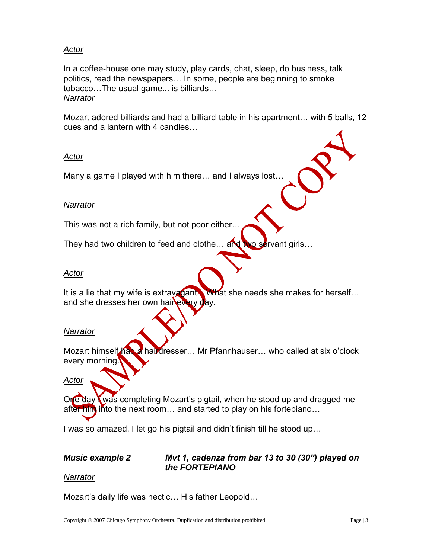# *Actor*

In a coffee-house one may study, play cards, chat, sleep, do business, talk politics, read the newspapers… In some, people are beginning to smoke tobacco…The usual game... is billiards… *Narrator*

Mozart adored billiards and had a billiard-table in his apartment… with 5 balls, 12 cues and a lantern with 4 candles…

## *Actor*

Many a game I played with him there… and I always lost…

### *Narrator*

This was not a rich family, but not poor either…

They had two children to feed and clothe… and two servant girls…

### *Actor*

It is a lie that my wife is extravagant. What she needs she makes for herself... and she dresses her own hair every day.

### *Narrator*

Mozart himself had a hairdresser... Mr Pfannhauser... who called at six o'clock every morning…

### *Actor*

One day I was completing Mozart's pigtail, when he stood up and dragged me after him into the next room... and started to play on his fortepiano...

I was so amazed, I let go his pigtail and didn't finish till he stood up…

### *Music example 2 Mvt 1, cadenza from bar 13 to 30 (30") played on the FORTEPIANO*

### *Narrator*

Mozart's daily life was hectic… His father Leopold…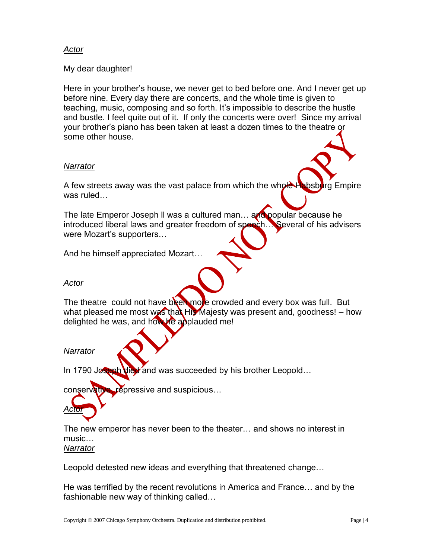## *Actor*

My dear daughter!

Here in your brother's house, we never get to bed before one. And I never get up before nine. Every day there are concerts, and the whole time is given to teaching, music, composing and so forth. It's impossible to describe the hustle and bustle. I feel quite out of it. If only the concerts were over! Since my arrival your brother's piano has been taken at least a dozen times to the theatre or some other house.

## *Narrator*

A few streets away was the vast palace from which the whole Habsburg Empire was ruled…

The late Emperor Joseph II was a cultured man... and popular because he introduced liberal laws and greater freedom of speech… Several of his advisers were Mozart's supporters…

And he himself appreciated Mozart…

## *Actor*

The theatre could not have been more crowded and every box was full. But what pleased me most was that His Majesty was present and, goodness!  $-$  how delighted he was, and how he applauded me!

### *Narrator*

In 1790 Joseph died and was succeeded by his brother Leopold...

conservative, repressive and suspicious…

The new emperor has never been to the theater… and shows no interest in music…

## *Narrator*

*Actor*

Leopold detested new ideas and everything that threatened change…

He was terrified by the recent revolutions in America and France… and by the fashionable new way of thinking called…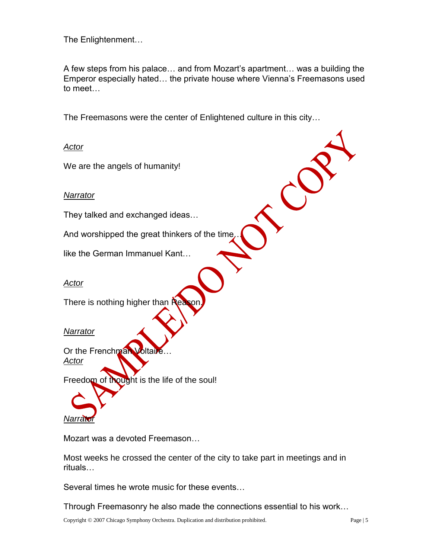The Enlightenment…

A few steps from his palace… and from Mozart's apartment… was a building the Emperor especially hated… the private house where Vienna's Freemasons used to meet…

The Freemasons were the center of Enlightened culture in this city…

*Actor*

We are the angels of humanity!

*Narrator*

They talked and exchanged ideas…

And worshipped the great thinkers of the time

like the German Immanuel Kant…

*Actor*

There is nothing higher than  $Re$ 

### *Narrator*

Or the Frenchman Voltaire *Actor*

Freedom of thought is the life of the soul!

**Narrat** 

Mozart was a devoted Freemason…

Most weeks he crossed the center of the city to take part in meetings and in rituals…

Several times he wrote music for these events…

Through Freemasonry he also made the connections essential to his work…

Copyright © 2007 Chicago Symphony Orchestra. Duplication and distribution prohibited. Page | 5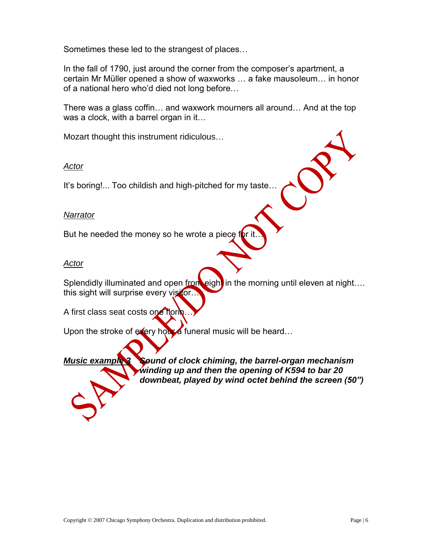Sometimes these led to the strangest of places…

In the fall of 1790, just around the corner from the composer's apartment, a certain Mr Müller opened a show of waxworks … a fake mausoleum… in honor of a national hero who'd died not long before…

There was a glass coffin… and waxwork mourners all around… And at the top was a clock, with a barrel organ in it…

Mozart thought this instrument ridiculous…

*Actor*

It's boring!... Too childish and high-pitched for my taste…

*Narrator*

But he needed the money so he wrote a piece for

*Actor*

Splendidly illuminated and open from eight in the morning until eleven at night.... this sight will surprise every visitor.

A first class seat costs one florin…

Upon the stroke of every hour a funeral music will be heard...



*Music example 3 Sound of clock chiming, the barrel-organ mechanism winding up and then the opening of K594 to bar 20 downbeat, played by wind octet behind the screen (50")*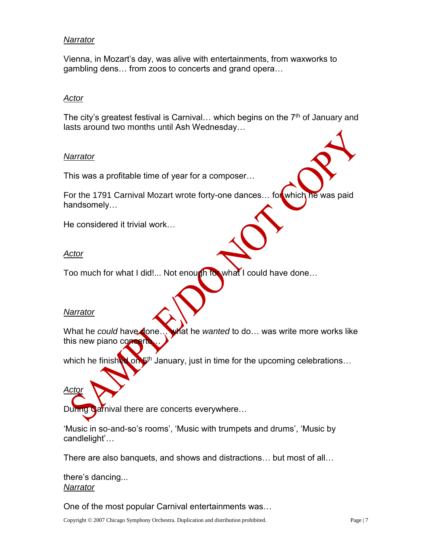Vienna, in Mozart's day, was alive with entertainments, from waxworks to gambling dens… from zoos to concerts and grand opera…

### *Actor*

The city's greatest festival is Carnival... which begins on the  $7<sup>th</sup>$  of January and lasts around two months until Ash Wednesday…

### *Narrator*

This was a profitable time of year for a composer…

For the 1791 Carnival Mozart wrote forty-one dances... for which he was paid handsomely…

He considered it trivial work…

### *Actor*

Too much for what I did!... Not enough for what I could have done...

### *Narrator*

What he *could* have fone. What he *wanted* to do... was write more works like this new piano concert

which he finished on 5<sup>th</sup> January, just in time for the upcoming celebrations...

### *Actor*

During Carnival there are concerts everywhere...

'Music in so-and-so's rooms', 'Music with trumpets and drums', 'Music by candlelight'…

There are also banquets, and shows and distractions… but most of all…

there's dancing... *Narrator*

One of the most popular Carnival entertainments was…

Copyright © 2007 Chicago Symphony Orchestra. Duplication and distribution prohibited. Page | 7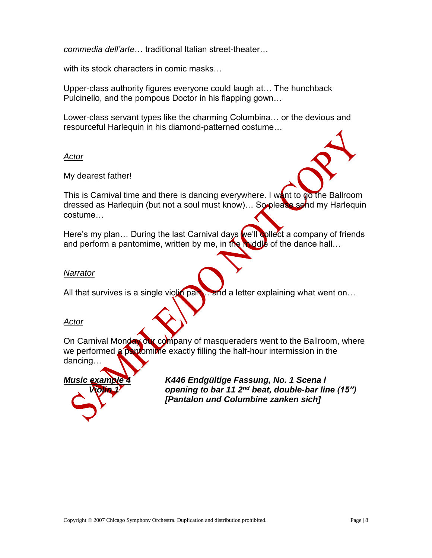*commedia dell'arte*… traditional Italian street-theater…

with its stock characters in comic masks…

Upper-class authority figures everyone could laugh at… The hunchback Pulcinello, and the pompous Doctor in his flapping gown…

Lower-class servant types like the charming Columbina… or the devious and resourceful Harlequin in his diamond-patterned costume…

*Actor*

My dearest father!



This is Carnival time and there is dancing everywhere. I want to go the Ballroom dressed as Harlequin (but not a soul must know)... So please send my Harlequin costume…

Here's my plan... During the last Carnival days we'll collect a company of friends and perform a pantomime, written by me, in the middle of the dance hall…

*Narrator*

All that survives is a single violin part… and a letter explaining what went on...

*Actor*

On Carnival Monday our company of masqueraders went to the Ballroom, where we performed a pantomime exactly filling the half-hour intermission in the dancing…



*Music example 4 K446 Endgültige Fassung, No. 1 Scena l Violin 1 opening to bar 11 2nd beat, double-bar line (15") [Pantalon und Columbine zanken sich]*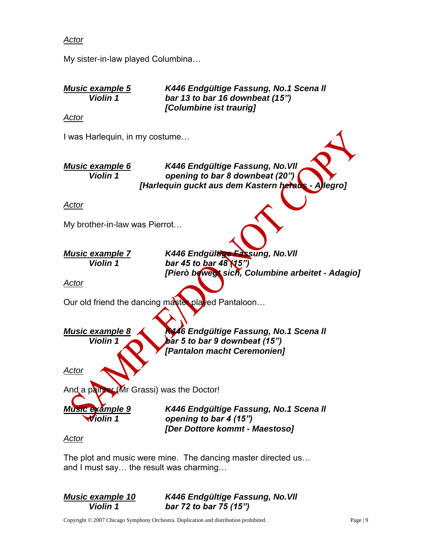*Actor*

My sister-in-law played Columbina…

*Music example 5 K446 Endgültige Fassung, No.1 Scena ll Violin 1 bar 13 to bar 16 downbeat (15") [Columbine ist traurig] Actor* I was Harlequin, in my costume… *Music example 6 K446 Endgültige Fassung, No.Vll Violin 1 opening to bar 8 downbeat (20") [Harlequin guckt aus dem Kastern heraus - Allegro] Actor* My brother-in-law was Pierrot… *Music example 7 K446 Endgültige Fassung, No.Vll Violin 1 bar 45 to bar 48 (15") [Pierò bewegt sich, Columbine arbeitet - Adagio] Actor* Our old friend the dancing master played Pantaloon... *Music example 8 K446 Endgültige Fassung, No.1 Scena ll Violin 1 bar 5 to bar 9 downbeat (15") [Pantalon macht Ceremonien] Actor* And a painter (Mr Grassi) was the Doctor! *Music example 9 K446 Endgültige Fassung, No.1 Scena ll Violin 1 opening to bar 4 (15") [Der Dottore kommt - Maestoso] Actor*

The plot and music were mine. The dancing master directed us… and I must say… the result was charming…

*Music example 10 K446 Endgültige Fassung, No.Vll Violin 1 bar 72 to bar 75 (15")*

Copyright © 2007 Chicago Symphony Orchestra. Duplication and distribution prohibited. Page | 9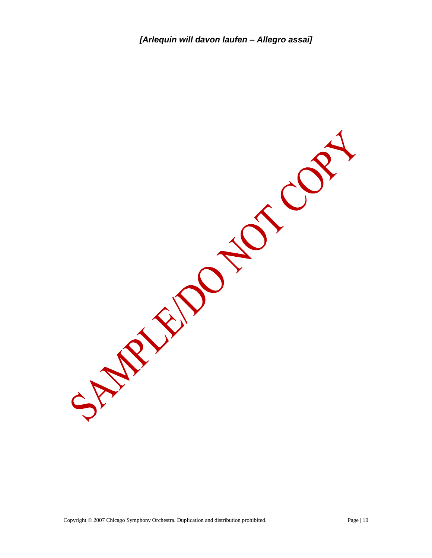$\sim$ SPARITO N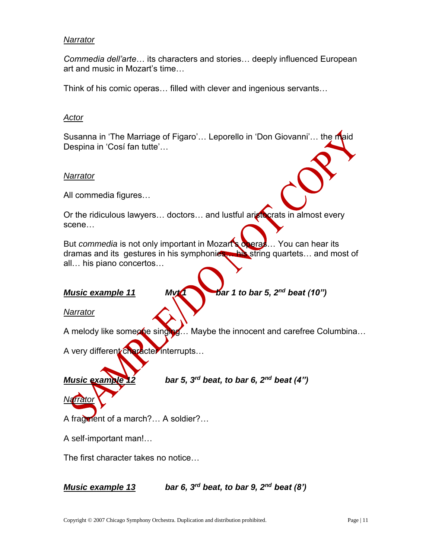*Commedia dell'arte*… its characters and stories… deeply influenced European art and music in Mozart's time…

Think of his comic operas… filled with clever and ingenious servants…

### *Actor*

Susanna in 'The Marriage of Figaro'... Leporello in 'Don Giovanni'... the maid Despina in 'Cosí fan tutte'…

### *Narrator*

All commedia figures…

Or the ridiculous lawyers... doctors... and lustful aristocrats in almost every scene…

But *commedia* is not only important in Mozart's operas… You can hear its dramas and its gestures in his symphonies… his string quartets… and most of all… his piano concertos…

*Music example 11 Mvt 1 bar 1 to bar 5, 2nd beat (10")*

*Narrator*

*Narrator*

A melody like someone singing... Maybe the innocent and carefree Columbina...

A very different character interrupts...

*Music example 12 bar 5, 3rd beat, to bar 6, 2nd beat (4")*

A fragment of a march?… A soldier?…

A self-important man!…

The first character takes no notice…

## *Music example 13 bar 6, 3rd beat, to bar 9, 2nd beat (8')*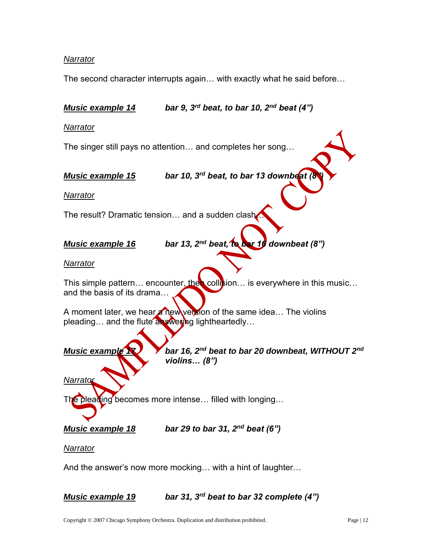The second character interrupts again… with exactly what he said before…

## *Music example 14 bar 9, 3rd beat, to bar 10, 2nd beat (4")*

### *Narrator*

The singer still pays no attention… and completes her song…

*Music example 15 bar 10, 3<sup>rd</sup> beat, to bar 13 downbeat* 

### *Narrator*

The result? Dramatic tension… and a sudden clash…

*Music example 16 bar 13, 2nd beat, to bar 16 downbeat (8")*

### *Narrator*

This simple pattern... encounter, then collision... is everywhere in this music... and the basis of its drama…

A moment later, we hear a new version of the same idea... The violins pleading... and the flute answering lightheartedly...

*Music example 17 bar 16, 2nd beat to bar 20 downbeat, WITHOUT 2nd violins… (8")*

**Narrato** 

The pleading becomes more intense… filled with longing…

*Music example 18 bar 29 to bar 31, 2nd beat (6")*

# *Narrator*

And the answer's now more mocking… with a hint of laughter…

# *Music example 19 bar 31, 3rd beat to bar 32 complete (4")*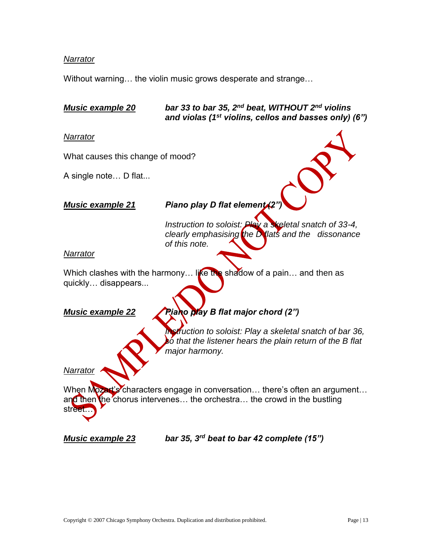Without warning… the violin music grows desperate and strange…

## *Music example 20 bar 33 to bar 35, 2nd beat, WITHOUT 2nd violins and violas (1st violins, cellos and basses only) (6")*

### *Narrator*

What causes this change of mood?

A single note… D flat...

### *Music example 21 Piano play D flat element (2")*

*Instruction to soloist: Play a skeletal snatch of 33-4, clearly emphasising the D flats and the dissonance of this note.*

*Narrator*

Which clashes with the harmony... like the shadow of a pain... and then as quickly… disappears...

## *Music example 22 Piano play B flat major chord (2")*

*Instruction to soloist: Play a skeletal snatch of bar 36, so that the listener hears the plain return of the B flat major harmony.*

*Narrator*

When Mozart's characters engage in conversation... there's often an argument... and then the chorus intervenes... the orchestra... the crowd in the bustling street…

### *Music example 23 bar 35, 3rd beat to bar 42 complete (15")*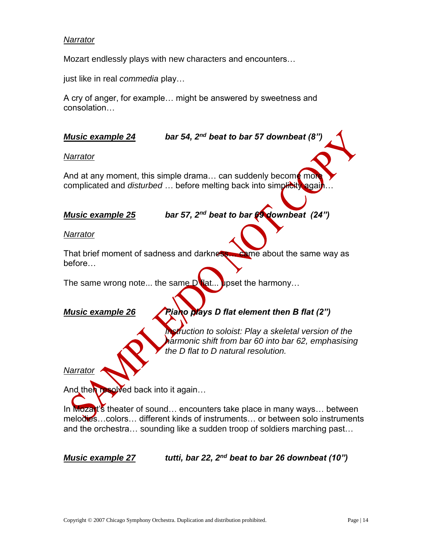Mozart endlessly plays with new characters and encounters…

just like in real *commedia* play…

A cry of anger, for example… might be answered by sweetness and consolation…

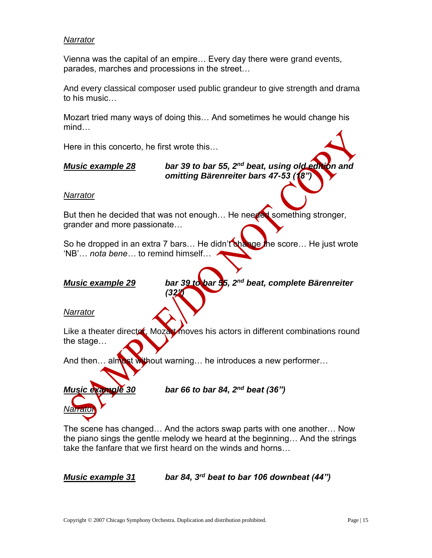Vienna was the capital of an empire… Every day there were grand events, parades, marches and processions in the street…

And every classical composer used public grandeur to give strength and drama to his music…

Mozart tried many ways of doing this… And sometimes he would change his mind…

Here in this concerto, he first wrote this…

*Music example 28 bar 39 to bar 55, 2nd beat, using old edition and omitting Bärenreiter bars 47-53 (18")*

## *Narrator*

But then he decided that was not enough... He needed something stronger, grander and more passionate…

So he dropped in an extra 7 bars... He didn't change the score... He just wrote 'NB'… *nota bene…* to remind himself…

*Music example 29 bar 39 to bar 55, 2nd beat, complete Bärenreiter (32")*

*Narrator*

Like a theater director, Mozart moves his actors in different combinations round the stage…

And then… almost without warning… he introduces a new performer…



*Music example 30 bar 66 to bar 84, 2nd beat (36")*

The scene has changed… And the actors swap parts with one another… Now the piano sings the gentle melody we heard at the beginning… And the strings take the fanfare that we first heard on the winds and horns…

*Music example 31 bar 84, 3rd beat to bar 106 downbeat (44")*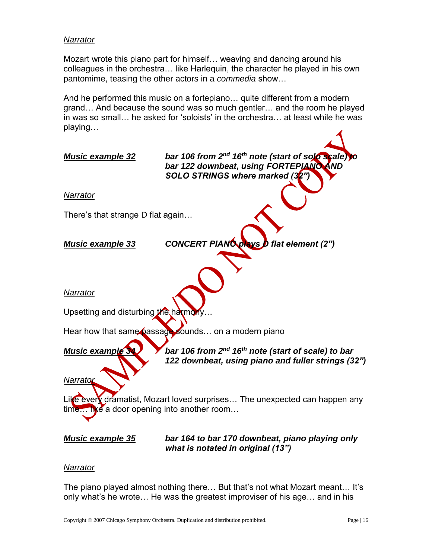Mozart wrote this piano part for himself… weaving and dancing around his colleagues in the orchestra… like Harlequin, the character he played in his own pantomime, teasing the other actors in a *commedia* show…

And he performed this music on a fortepiano… quite different from a modern grand… And because the sound was so much gentler… and the room he played in was so small… he asked for 'soloists' in the orchestra… at least while he was playing…  $\blacktriangle$ 

| <b>Music example 32</b>                    | bar 106 from $2^{nd}$ 16 <sup>th</sup> note (start of solo scale) to<br>bar 122 downbeat, using FORTEPIANO AND<br>SOLO STRINGS where marked (32") |
|--------------------------------------------|---------------------------------------------------------------------------------------------------------------------------------------------------|
| <b>Narrator</b>                            |                                                                                                                                                   |
| There's that strange D flat again          |                                                                                                                                                   |
| <b>Music example 33</b>                    | CONCERT PIANO plays D flat element (2")                                                                                                           |
|                                            |                                                                                                                                                   |
| <b>Narrator</b>                            |                                                                                                                                                   |
| Upsetting and disturbing the harmony       |                                                                                                                                                   |
|                                            | Hear how that same passage sounds on a modern piano                                                                                               |
| <b>Music example 34</b>                    | bar 106 from 2 <sup>nd</sup> 16 <sup>th</sup> note (start of scale) to bar<br>122 downbeat, using piano and fuller strings (32")                  |
| Narrator                                   |                                                                                                                                                   |
| time like a door opening into another room | Like ever <b>Y</b> dramatist, Mozart loved surprises The unexpected can happen any                                                                |
| <b>Music example 35</b>                    | bar 164 to bar 170 downbeat, piano playing only<br>what is notated in original (13")                                                              |

### *Narrator*

The piano played almost nothing there… But that's not what Mozart meant… It's only what's he wrote… He was the greatest improviser of his age… and in his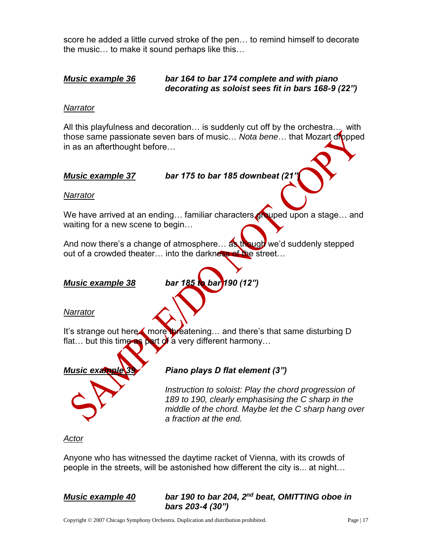score he added a little curved stroke of the pen… to remind himself to decorate the music… to make it sound perhaps like this…

### *Music example 36 bar 164 to bar 174 complete and with piano decorating as soloist sees fit in bars 168-9 (22")*

### *Narrator*

All this playfulness and decoration… is suddenly cut off by the orchestra… with those same passionate seven bars of music... *Nota bene...* that Mozart dropped in as an afterthought before…

*Music example 37 bar 175 to bar 185 downbeat (21")*

## *Narrator*

We have arrived at an ending... familiar characters grouped upon a stage... and waiting for a new scene to begin…

And now there's a change of atmosphere... as though we'd suddenly stepped out of a crowded theater... into the darkness of the street...

*Music example 38 bar 185 to bar 190 (12")*

*Narrator*

It's strange out here. more threatening... and there's that same disturbing D flat... but this time as part of a very different harmony...



# *Music example 39 Piano plays D flat element (3")*

*Instruction to soloist: Play the chord progression of 189 to 190, clearly emphasising the C sharp in the middle of the chord. Maybe let the C sharp hang over a fraction at the end.*

## *Actor*

Anyone who has witnessed the daytime racket of Vienna, with its crowds of people in the streets, will be astonished how different the city is... at night…

## *Music example 40 bar 190 to bar 204, 2nd beat, OMITTING oboe in bars 203-4 (30")*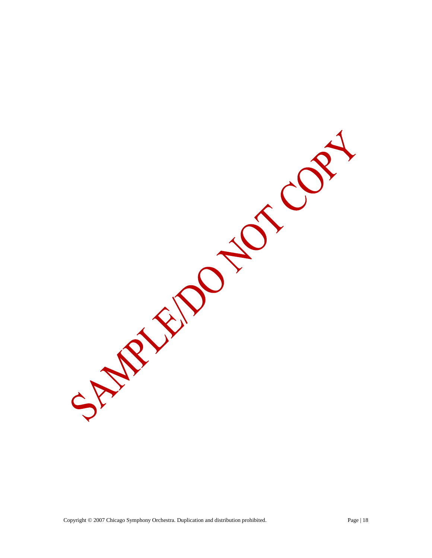SCO SARRY DIA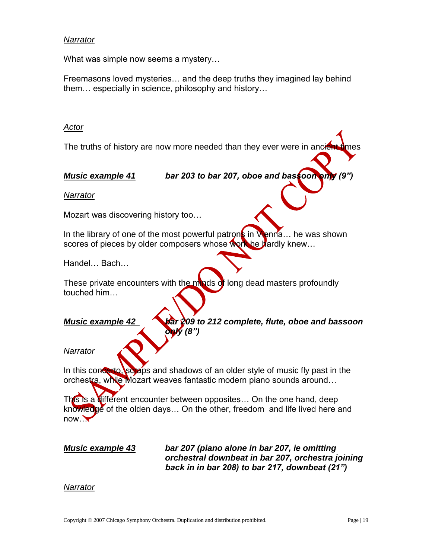What was simple now seems a mystery…

Freemasons loved mysteries… and the deep truths they imagined lay behind them… especially in science, philosophy and history…

### *Actor*

The truths of history are now more needed than they ever were in ancient times

*Music example 41 bar 203 to bar 207, oboe and bassoon* 

### *Narrator*

Mozart was discovering history too…

In the library of one of the most powerful patrons in  $\mathbf{N}$ enna... he was shown scores of pieces by older composers whose work he hardly knew...

Handel… Bach…

These private encounters with the minds of long dead masters profoundly touched him…

*Music example 42 bar 209 to 212 complete, flute, oboe and bassoon only (8")*

### *Narrator*

In this concerto, scraps and shadows of an older style of music fly past in the orchestra, while Mozart weaves fantastic modern piano sounds around...

This is a different encounter between opposites... On the one hand, deep knowledge of the olden days... On the other, freedom and life lived here and now…

*Music example 43 bar 207 (piano alone in bar 207, ie omitting orchestral downbeat in bar 207, orchestra joining back in in bar 208) to bar 217, downbeat (21")*

### *Narrator*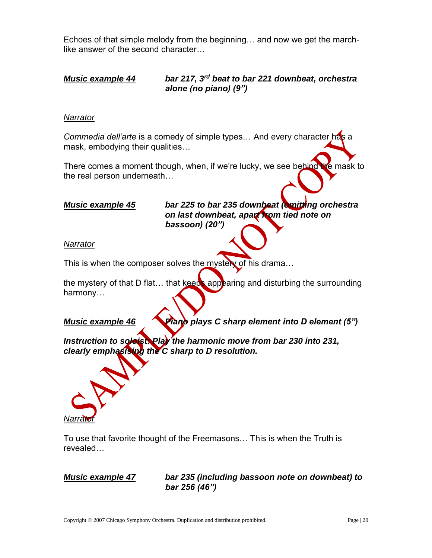Echoes of that simple melody from the beginning… and now we get the marchlike answer of the second character…

## *Music example 44 bar 217, 3rd beat to bar 221 downbeat, orchestra alone (no piano) (9")*

### *Narrator*

*Commedia dell'arte* is a comedy of simple types... And every character has a mask, embodying their qualities…

There comes a moment though, when, if we're lucky, we see behind the mask to the real person underneath…

*Music example 45 bar 225 to bar 235 downbeat (omitting orchestra on last downbeat, apart from tied note on bassoon) (20")*

*Narrator*

This is when the composer solves the myster of his drama...

the mystery of that D flat... that keeps appearing and disturbing the surrounding harmony…

*Music example 46 Piano plays C sharp element into D element (5")*

*Instruction to soloist: Play the harmonic move from bar 230 into 231, clearly emphasising the C sharp to D resolution.*



To use that favorite thought of the Freemasons… This is when the Truth is revealed…

*Music example 47 bar 235 (including bassoon note on downbeat) to bar 256 (46")*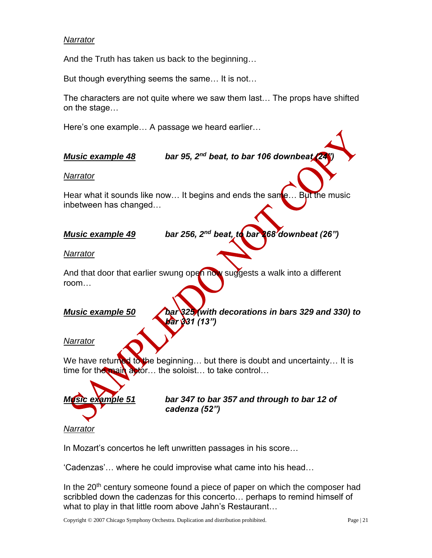And the Truth has taken us back to the beginning…

But though everything seems the same… It is not…

The characters are not quite where we saw them last… The props have shifted on the stage…

Here's one example… A passage we heard earlier…



In Mozart's concertos he left unwritten passages in his score…

'Cadenzas'… where he could improvise what came into his head…

In the 20<sup>th</sup> century someone found a piece of paper on which the composer had scribbled down the cadenzas for this concerto… perhaps to remind himself of what to play in that little room above Jahn's Restaurant…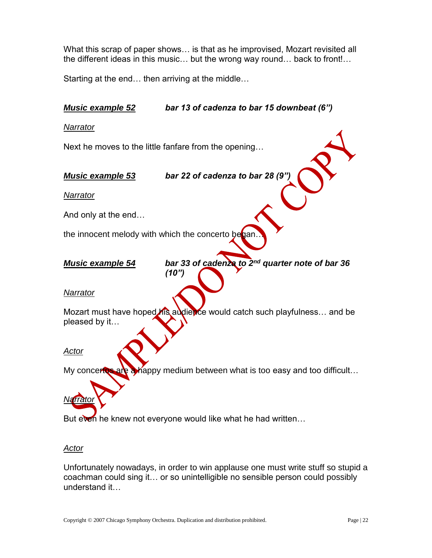What this scrap of paper shows… is that as he improvised, Mozart revisited all the different ideas in this music… but the wrong way round… back to front!…

Starting at the end… then arriving at the middle…

# *Music example 52 bar 13 of cadenza to bar 15 downbeat (6")*

*Narrator*

Next he moves to the little fanfare from the opening…

*Music example 53 bar 22 of cadenza to bar 28 (9")*

*Narrator*

And only at the end…

the innocent melody with which the concerto began

*Music example 54 bar 33 of cadenza to 2nd quarter note of bar 36 (10")*

*Narrator*

Mozart must have hoped his audience would catch such playfulness... and be pleased by it…

*Actor*

My concertos are a happy medium between what is too easy and too difficult...

**Narrato** 

But even he knew not everyone would like what he had written…

## *Actor*

Unfortunately nowadays, in order to win applause one must write stuff so stupid a coachman could sing it… or so unintelligible no sensible person could possibly understand it…